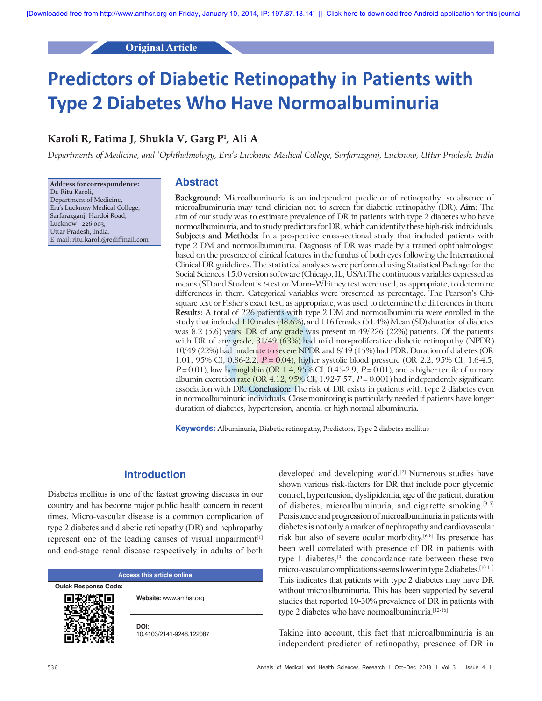## **Original Article**

# **Predictors of Diabetic Retinopathy in Patients with Type 2 Diabetes Who Have Normoalbuminuria**

## **Karoli R, Fatima J, Shukla V, Garg P1 , Ali A**

*Departments of Medicine, and 1 Ophthalmology, Era's Lucknow Medical College, Sarfarazganj, Lucknow, Uttar Pradesh, India*

**Address for correspondence:** Dr. Ritu Karoli, Department of Medicine, Era's Lucknow Medical College, Sarfarazganj, Hardoi Road, Lucknow - 226 003, Uttar Pradesh, India. E‑mail: ritu.karoli@rediffmail.com

## **Abstract**

**Background:** Microalbuminuria is an independent predictor of retinopathy, so absence of microalbuminuria may tend clinician not to screen for diabetic retinopathy (DR). **Aim:** The aim of our study was to estimate prevalence of DR in patients with type 2 diabetes who have normoalbuminuria, and to study predictors for DR, which can identify these high-risk individuals. **Subjects and Methods:** In a prospective cross-sectional study that included patients with type 2 DM and normoalbuminuria. Diagnosis of DR was made by a trained ophthalmologist based on the presence of clinical features in the fundus of both eyes following the International Clinical DR guidelines. The statistical analyses were performed using Statistical Package for the Social Sciences 15.0 version software (Chicago, IL, USA).The continuous variables expressed as means (SD and Student's *t*-test or Mann–Whitney test were used, as appropriate, to determine differences in them. Categorical variables were presented as percentage. The Pearson's Chisquare test or Fisher's exact test, as appropriate, was used to determine the differences in them. **Results:** A total of 226 patients with type 2 DM and normoalbuminuria were enrolled in the study that included  $110$  males (48.6%), and  $116$  females (51.4%) Mean (SD) duration of diabetes was 8.2 (5.6) years. DR of any grade was present in 49/226 (22%) patients. Of the patients with DR of any grade,  $31/49$  (63%) had mild non-proliferative diabetic retinopathy (NPDR) 10/49 (22%) had moderate to severe NPDR and 8/49 (15%) had PDR. Duration of diabetes (OR 1.01, 95% CI, 0.86-2.2, *P* = 0.04), higher systolic blood pressure (OR 2.2, 95% CI, 1.6-4.5, *P* = 0.01), low hemoglobin (OR 1.4, 95% CI, 0.45-2.9, *P* = 0.01), and a higher tertile of urinary albumin excretion rate (OR  $4.12$ ,  $95\%$  CI,  $1.92$ -7.57,  $P = 0.001$ ) had independently significant association with DR. **Conclusion:** The risk of DR exists in patients with type 2 diabetes even in normoalbuminuric individuals. Close monitoring is particularly needed if patients have longer duration of diabetes, hypertension, anemia, or high normal albuminuria.

**Keywords:** Albuminuria, Diabetic retinopathy, Predictors, Type 2 diabetes mellitus

## **Introduction**

Diabetes mellitus is one of the fastest growing diseases in our country and has become major public health concern in recent times. Micro‑vascular disease is a common complication of type 2 diabetes and diabetic retinopathy (DR) and nephropathy represent one of the leading causes of visual impairment<sup>[1]</sup> and end‑stage renal disease respectively in adults of both

| <b>Access this article online</b> |                                  |  |
|-----------------------------------|----------------------------------|--|
| <b>Quick Response Code:</b>       | Website: www.amhsr.org           |  |
|                                   | DOI:<br>10.4103/2141-9248.122087 |  |

developed and developing world.[2] Numerous studies have shown various risk-factors for DR that include poor glycemic control, hypertension, dyslipidemia, age of the patient, duration of diabetes, microalbuminuria, and cigarette smoking.[3‑5] Persistence and progression of microalbuminuria in patients with diabetes is not only a marker of nephropathy and cardiovascular risk but also of severe ocular morbidity.[6‑8] Its presence has been well correlated with presence of DR in patients with type 1 diabetes,[9] the concordance rate between these two micro-vascular complications seems lower in type 2 diabetes.<sup>[10-11]</sup> This indicates that patients with type 2 diabetes may have DR without microalbuminuria. This has been supported by several studies that reported 10‑30% prevalence of DR in patients with type 2 diabetes who have normoalbuminuria.<sup>[12-16]</sup>

Taking into account, this fact that microalbuminuria is an independent predictor of retinopathy, presence of DR in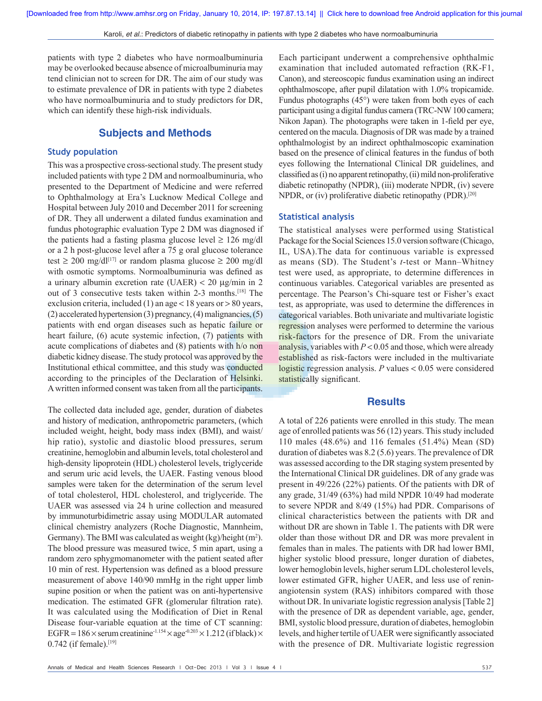patients with type 2 diabetes who have normoalbuminuria may be overlooked because absence of microalbuminuria may tend clinician not to screen for DR. The aim of our study was to estimate prevalence of DR in patients with type 2 diabetes who have normoalbuminuria and to study predictors for DR, which can identify these high-risk individuals.

## **Subjects and Methods**

#### **Study population**

This was a prospective cross-sectional study. The present study included patients with type 2 DM and normoalbuminuria, who presented to the Department of Medicine and were referred to Ophthalmology at Era's Lucknow Medical College and Hospital between July 2010 and December 2011 for screening of DR. They all underwent a dilated fundus examination and fundus photographic evaluation Type 2 DM was diagnosed if the patients had a fasting plasma glucose level  $\geq 126$  mg/dl or a 2 h post‑glucose level after a 75 g oral glucose tolerance test  $\geq 200$  mg/dl<sup>[17]</sup> or random plasma glucose  $\geq 200$  mg/dl with osmotic symptoms. Normoalbuminuria was defined as a urinary albumin excretion rate (UAER) < 20 μg/min in 2 out of 3 consecutive tests taken within 2‑3 months.[18] The exclusion criteria, included (1) an age  $<$  18 years or  $>$  80 years, (2) accelerated hypertension (3) pregnancy,(4) malignancies,(5) patients with end organ diseases such as hepatic failure or heart failure, (6) acute systemic infection, (7) patients with acute complications of diabetes and (8) patients with h/o non diabetic kidney disease. The study protocol was approved by the Institutional ethical committee, and this study was conducted according to the principles of the Declaration of Helsinki. Awritten informed consent was taken from all the participants.

The collected data included age, gender, duration of diabetes and history of medication, anthropometric parameters, (which included weight, height, body mass index (BMI), and waist/ hip ratio), systolic and diastolic blood pressures, serum creatinine, hemoglobin and albumin levels, total cholesterol and high-density lipoprotein (HDL) cholesterol levels, triglyceride and serum uric acid levels, the UAER. Fasting venous blood samples were taken for the determination of the serum level of total cholesterol, HDL cholesterol, and triglyceride. The UAER was assessed via 24 h urine collection and measured by immunoturbidimetric assay using MODULAR automated clinical chemistry analyzers (Roche Diagnostic, Mannheim, Germany). The BMI was calculated as weight  $(kg)/height(m^2)$ . The blood pressure was measured twice, 5 min apart, using a random zero sphygmomanometer with the patient seated after 10 min of rest. Hypertension was defined as a blood pressure measurement of above 140/90 mmHg in the right upper limb supine position or when the patient was on anti-hypertensive medication. The estimated GFR (glomerular filtration rate). It was calculated using the Modification of Diet in Renal Disease four-variable equation at the time of CT scanning: EGFR =  $186 \times$  serum creatinine<sup>-1.154</sup>  $\times$  age<sup>-0.203</sup>  $\times$  1.212 (if black)  $\times$  $0.742$  (if female).<sup>[19]</sup>

Each participant underwent a comprehensive ophthalmic examination that included automated refraction (RK‑F1, Canon), and stereoscopic fundus examination using an indirect ophthalmoscope, after pupil dilatation with 1.0% tropicamide. Fundus photographs (45°) were taken from both eyes of each participant using a digital fundus camera (TRC-NW 100 camera; Nikon Japan). The photographs were taken in 1‑field per eye, centered on the macula. Diagnosis of DR was made by a trained ophthalmologist by an indirect ophthalmoscopic examination based on the presence of clinical features in the fundus of both eyes following the International Clinical DR guidelines, and classified as (i) no apparent retinopathy, (ii) mild non-proliferative diabetic retinopathy (NPDR), (iii) moderate NPDR, (iv) severe NPDR, or (iv) proliferative diabetic retinopathy (PDR).[20]

#### **Statistical analysis**

The statistical analyses were performed using Statistical Package for the Social Sciences 15.0 version software (Chicago, IL, USA).The data for continuous variable is expressed as means (SD). The Student's *t*‑test or Mann–Whitney test were used, as appropriate, to determine differences in continuous variables. Categorical variables are presented as percentage. The Pearson's Chi‑square test or Fisher's exact test, as appropriate, was used to determine the differences in categorical variables. Both univariate and multivariate logistic regression analyses were performed to determine the various risk-factors for the presence of DR. From the univariate analysis, variables with *P* < 0.05 and those, which were already established as risk-factors were included in the multivariate logistic regression analysis. *P* values < 0.05 were considered statistically significant.

#### **Results**

A total of 226 patients were enrolled in this study. The mean age of enrolled patients was 56 (12) years. This study included 110 males (48.6%) and 116 females (51.4%) Mean (SD) duration of diabetes was 8.2 (5.6) years. The prevalence of DR was assessed according to the DR staging system presented by the International Clinical DR guidelines. DR of any grade was present in 49/226 (22%) patients. Of the patients with DR of any grade, 31/49 (63%) had mild NPDR 10/49 had moderate to severe NPDR and 8/49 (15%) had PDR. Comparisons of clinical characteristics between the patients with DR and without DR are shown in Table 1. The patients with DR were older than those without DR and DR was more prevalent in females than in males. The patients with DR had lower BMI, higher systolic blood pressure, longer duration of diabetes, lower hemoglobin levels, higher serum LDL cholesterol levels, lower estimated GFR, higher UAER, and less use of reninangiotensin system (RAS) inhibitors compared with those without DR. In univariate logistic regression analysis [Table 2] with the presence of DR as dependent variable, age, gender, BMI, systolic blood pressure, duration of diabetes, hemoglobin levels, and higher tertile of UAER were significantly associated with the presence of DR. Multivariate logistic regression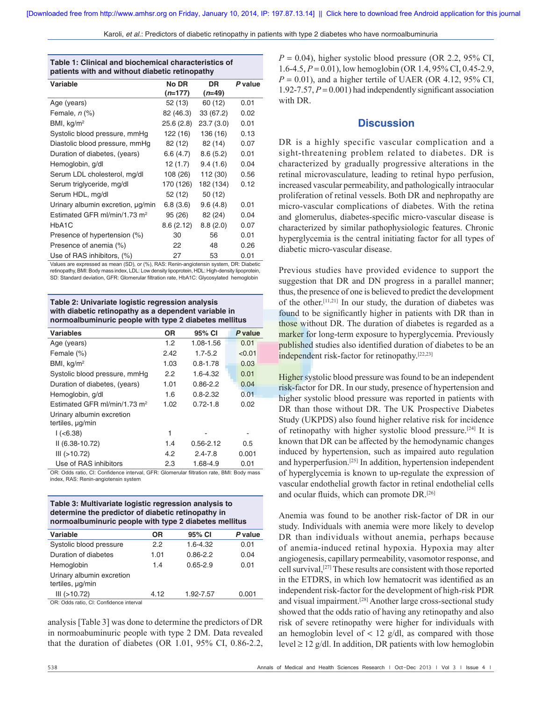|  | Karoli, et al.: Predictors of diabetic retinopathy in patients with type 2 diabetes who have normoalbuminuria |  |  |
|--|---------------------------------------------------------------------------------------------------------------|--|--|
|--|---------------------------------------------------------------------------------------------------------------|--|--|

| Table 1: Clinical and biochemical characteristics of<br>patients with and without diabetic retinopathy |                    |                |         |  |  |
|--------------------------------------------------------------------------------------------------------|--------------------|----------------|---------|--|--|
| Variable                                                                                               | No DR<br>$(n=177)$ | DR<br>$(n=49)$ | P value |  |  |
| Age (years)                                                                                            | 52 (13)            | 60 (12)        | 0.01    |  |  |
| Female, $n$ $%$                                                                                        | 82 (46.3)          | 33 (67.2)      | 0.02    |  |  |
| BMI, $kg/m2$                                                                                           | 25.6 (2.8)         | 23.7(3.0)      | 0.01    |  |  |
| Systolic blood pressure, mmHg                                                                          | 122 (16)           | 136 (16)       | 0.13    |  |  |
| Diastolic blood pressure, mmHg                                                                         | 82 (12)            | 82 (14)        | 0.07    |  |  |
| Duration of diabetes, (years)                                                                          | 6.6 (4.7)          | 8.6(5.2)       | 0.01    |  |  |
| Hemoglobin, g/dl                                                                                       | 12 (1.7)           | 9.4(1.6)       | 0.04    |  |  |
| Serum LDL cholesterol, mg/dl                                                                           | 108 (26)           | 112 (30)       | 0.56    |  |  |
| Serum triglyceride, mg/dl                                                                              | 170 (126)          | 182 (134)      | 0.12    |  |  |
| Serum HDL, mg/dl                                                                                       | 52 (12)            | 50 (12)        |         |  |  |
| Urinary albumin excretion, ug/min                                                                      | 6.8(3.6)           | 9.6(4.8)       | 0.01    |  |  |
| Estimated GFR ml/min/1.73 $m2$                                                                         | 95 (26)            | 82 (24)        | 0.04    |  |  |
| HbA <sub>1</sub> C                                                                                     | 8.6(2.12)          | 8.8(2.0)       | 0.07    |  |  |
| Presence of hypertension (%)                                                                           | 30                 | 56             | 0.01    |  |  |
| Presence of anemia (%)                                                                                 | 22                 | 48             | 0.26    |  |  |
| Use of RAS inhibitors, (%)                                                                             | 27                 | 53             | 0.01    |  |  |

Values are expressed as mean (SD), or (%), RAS: Renin‑angiotensin system, DR: Diabetic retinopathy, BMI: Body mass index, LDL: Low density lipoprotein, HDL: High-density lipoprotein, SD: Standard deviation, GFR: Glomerular filtration rate, HbA1C: Glycosylated hemoglobin

**Table 2: Univariate logistic regression analysis with diabetic retinopathy as a dependent variable in normoalbuminuric people with type 2 diabetes mellitus**

| <b>Variables</b>                                                                       | <b>OR</b> | 95% CI        | P value |
|----------------------------------------------------------------------------------------|-----------|---------------|---------|
| Age (years)                                                                            | 1.2       | 1.08-1.56     | 0.01    |
| Female (%)                                                                             | 2.42      | $1.7 - 5.2$   | < 0.01  |
| BMI, $kg/m2$                                                                           | 1.03      | $0.8 - 1.78$  | 0.03    |
| Systolic blood pressure, mmHg                                                          | 2.2       | 1.6-4.32      | 0.01    |
| Duration of diabetes, (years)                                                          | 1.01      | $0.86 - 2.2$  | 0.04    |
| Hemoglobin, g/dl                                                                       | 1.6       | $0.8 - 2.32$  | 0.01    |
| Estimated GFR ml/min/1.73 $m2$                                                         | 1.02      | $0.72 - 1.8$  | 0.02    |
| Urinary albumin excretion<br>tertiles, µg/min                                          |           |               |         |
| $1 (-6.38)$                                                                            | 1         |               |         |
| $II (6.38-10.72)$                                                                      | 1.4       | $0.56 - 2.12$ | 0.5     |
| III ( >10.72)                                                                          | 4.2       | $2.4 - 7.8$   | 0.001   |
| Use of RAS inhibitors                                                                  | 2.3       | 1.68-4.9      | 0.01    |
| OP: Odde ratio CL: Confidence interval CEP: Clomerular filtration rate, RML: Rody mass |           |               |         |

OR: Odds ratio, CI: Confidence interval, GFR: Glomerular filtration rate, BMI: Body mass index, RAS: Renin‑angiotensin system

**Table 3: Multivariate logistic regression analysis to determine the predictor of diabetic retinopathy in normoalbuminuric people with type 2 diabetes mellitus**

| Variable                                      | 0R   | 95% CI       | P value |
|-----------------------------------------------|------|--------------|---------|
| Systolic blood pressure                       | 2.2  | $1.6 - 4.32$ | 0.01    |
| Duration of diabetes                          | 1.01 | $0.86 - 2.2$ | 0.04    |
| Hemoglobin                                    | 1.4  | $0.65 - 2.9$ | 0.01    |
| Urinary albumin excretion<br>tertiles, µg/min |      |              |         |
| III(>10.72)                                   | 4.12 | 1.92-7.57    | 0.001   |

OR: Odds ratio, CI: Confidence interval

analysis [Table 3] was done to determine the predictors of DR in normoabuminuric people with type 2 DM. Data revealed that the duration of diabetes (OR  $1.01$ ,  $95\%$  CI,  $0.86-2.2$ ,

## **Discussion**

DR is a highly specific vascular complication and a sight-threatening problem related to diabetes. DR is characterized by gradually progressive alterations in the retinal microvasculature, leading to retinal hypo perfusion, increased vascular permeability, and pathologically intraocular proliferation of retinal vessels. Both DR and nephropathy are micro‑vascular complications of diabetes. With the retina and glomerulus, diabetes–specific micro–vascular disease is characterized by similar pathophysiologic features. Chronic hyperglycemia is the central initiating factor for all types of diabetic micro‑vascular disease.

Previous studies have provided evidence to support the suggestion that DR and DN progress in a parallel manner; thus, the presence of one is believed to predict the development of the other.[11,21] In our study, the duration of diabetes was found to be significantly higher in patients with DR than in those without DR. The duration of diabetes is regarded as a marker for long-term exposure to hyperglycemia. Previously published studies also identified duration of diabetes to be an independent risk-factor for retinopathy.<sup>[22,23]</sup>

Higher systolic blood pressure was found to be an independent risk-factor for DR. In our study, presence of hypertension and higher systolic blood pressure was reported in patients with DR than those without DR. The UK Prospective Diabetes Study (UKPDS) also found higher relative risk for incidence of retinopathy with higher systolic blood pressure.[24] It is known that DR can be affected by the hemodynamic changes induced by hypertension, such as impaired auto regulation and hyperperfusion.[25] In addition, hypertension independent of hyperglycemia is known to up‑regulate the expression of vascular endothelial growth factor in retinal endothelial cells and ocular fluids, which can promote DR.[26]

Anemia was found to be another risk-factor of DR in our study. Individuals with anemia were more likely to develop DR than individuals without anemia, perhaps because of anemia‑induced retinal hypoxia. Hypoxia may alter angiogenesis, capillary permeability, vasomotor response, and cell survival,[27] These results are consistent with those reported in the ETDRS, in which low hematocrit was identified as an independent risk-factor for the development of high-risk PDR and visual impairment.<sup>[28]</sup> Another large cross-sectional study showed that the odds ratio of having any retinopathy and also risk of severe retinopathy were higher for individuals with an hemoglobin level of  $< 12$  g/dl, as compared with those level  $\geq$  12 g/dl. In addition, DR patients with low hemoglobin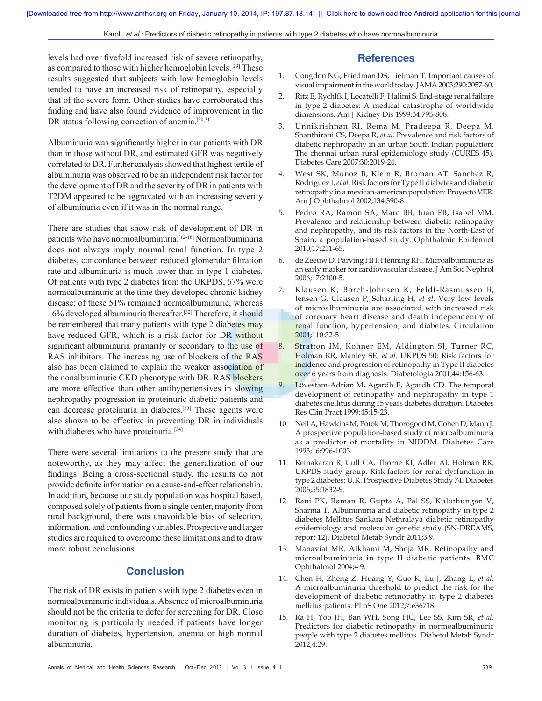levels had over fivefold increased risk of severe retinopathy, as compared to those with higher hemoglobin levels.[29] These results suggested that subjects with low hemoglobin levels tended to have an increased risk of retinopathy, especially that of the severe form. Other studies have corroborated this finding and have also found evidence of improvement in the DR status following correction of anemia.<sup>[30,31]</sup>

Albuminuria was significantly higher in our patients with DR than in those without DR, and estimated GFR was negatively correlated to DR. Further analysis showed that highest tertile of albuminuria was observed to be an independent risk factor for the development of DR and the severity of DR in patients with T2DM appeared to be aggravated with an increasing severity of albuminuria even if it was in the normal range.

There are studies that show risk of development of DR in patients who have normoalbuminuria.<sup>[12-16]</sup> Normoalbuminuria does not always imply normal renal function. In type 2 diabetes, concordance between reduced glomerular filtration rate and albuminuria is much lower than in type 1 diabetes. Of patients with type 2 diabetes from the UKPDS, 67% were normoalbuminuric at the time they developed chronic kidney disease; of these 51% remained normoalbuminuric, whereas 16% developed albuminuria thereafter.[32] Therefore, it should be remembered that many patients with type 2 diabetes may have reduced GFR, which is a risk-factor for DR without significant albuminuria primarily or secondary to the use of RAS inhibitors. The increasing use of blockers of the RAS also has been claimed to explain the weaker association of the nonalbuminuric CKD phenotype with DR. RAS blockers are more effective than other antihypertensives in slowing nephropathy progression in proteinuric diabetic patients and can decrease proteinuria in diabetes.[33] These agents were also shown to be effective in preventing DR in individuals with diabetes who have proteinuria.<sup>[34]</sup>

There were several limitations to the present study that are noteworthy, as they may affect the generalization of our findings. Being a cross‑sectional study, the results do not provide definite information on a cause-and-effect relationship. In addition, because our study population was hospital based, composed solely of patients from a single center, majority from rural background, there was unavoidable bias of selection, information, and confounding variables. Prospective and larger studies are required to overcome these limitations and to draw more robust conclusions.

### **Conclusion**

The risk of DR exists in patients with type 2 diabetes even in normoalbuminuric individuals. Absence of microalbuminuria should not be the criteria to defer for screening for DR. Close monitoring is particularly needed if patients have longer duration of diabetes, hypertension, anemia or high normal albuminuria.

#### **References**

- 1. Congdon NG, Friedman DS, Lietman T. Important causes of visual impairment in the world today. JAMA 2003;290:2057‑60.
- 2. Ritz E, Rychlík I, Locatelli F, Halimi S. End-stage renal failure in type 2 diabetes: A medical catastrophe of worldwide dimensions. Am J Kidney Dis 1999;34:795‑808.
- 3. Unnikrishnan RI, Rema M, Pradeepa R, Deepa M, Shanthirani CS, Deepa R, *et al*. Prevalence and risk factors of diabetic nephropathy in an urban South Indian population: The chennai urban rural epidemiology study (CURES 45). Diabetes Care 2007;30:2019‑24.
- 4. West SK, Munoz B, Klein R, Broman AT, Sanchez R, Rodriguez J, *et al*. Risk factors for Type II diabetes and diabetic retinopathy in a mexican‑american population: Proyecto VER. Am J Ophthalmol 2002;134:390‑8.
- 5. Pedro RA, Ramon SA, Marc BB, Juan FB, Isabel MM. Prevalence and relationship between diabetic retinopathy and nephropathy, and its risk factors in the North‑East of Spain, a population‑based study. Ophthalmic Epidemiol 2010;17:251‑65.
- 6. de Zeeuw D, Parving HH, Henning RH. Microalbuminuria as an early marker for cardiovascular disease. J Am Soc Nephrol 2006;17:2100‑5.
- 7. Klausen K, Borch‑Johnsen K, Feldt‑Rasmussen B, Jensen G, Clausen P, Scharling H, *et al*. Very low levels of microalbuminuria are associated with increased risk of coronary heart disease and death independently of renal function, hypertension, and diabetes. Circulation 2004;110:32‑5.
- 8. Stratton IM, Kohner EM, Aldington SJ, Turner RC, Holman RR, Manley SE, *et al*. UKPDS 50: Risk factors for incidence and progression of retinopathy in Type II diabetes over 6 years from diagnosis. Diabetologia 2001;44:156‑63.
- Lövestam-Adrian M, Agardh E, Agardh CD. The temporal development of retinopathy and nephropathy in type 1 diabetes mellitus during 15 years diabetes duration. Diabetes Res Clin Pract 1999;45:15‑23.
- 10. Neil A, Hawkins M, Potok M, Thorogood M, Cohen D, Mann J. A prospective population‑based study of microalbuminuria as a predictor of mortality in NIDDM. Diabetes Care 1993;16:996‑1003.
- 11. Retnakaran R, Cull CA, Thorne KI, Adler AI, Holman RR, UKPDS study group. Risk factors for renal dysfunction in type 2 diabetes: U.K. Prospective Diabetes Study 74. Diabetes 2006;55:1832‑9.
- 12. Rani PK, Raman R, Gupta A, Pal SS, Kulothungan V, Sharma T. Albuminuria and diabetic retinopathy in type 2 diabetes Mellitus Sankara Nethralaya diabetic retinopathy epidemiology and molecular genetic study (SN‑DREAMS, report 12). Diabetol Metab Syndr 2011;3:9.
- 13. Manaviat MR, Afkhami M, Shoja MR. Retinopathy and microalbuminuria in type II diabetic patients. BMC Ophthalmol 2004;4:9.
- 14. Chen H, Zheng Z, Huang Y, Guo K, Lu J, Zhang L, *et al*. A microalbuminuria threshold to predict the risk for the development of diabetic retinopathy in type 2 diabetes mellitus patients. PLoS One 2012;7:e36718.
- 15. Ra H, Yoo JH, Ban WH, Song HC, Lee SS, Kim SR, *et al*. Predictors for diabetic retinopathy in normoalbuminuric people with type 2 diabetes mellitus. Diabetol Metab Syndr 2012;4:29.